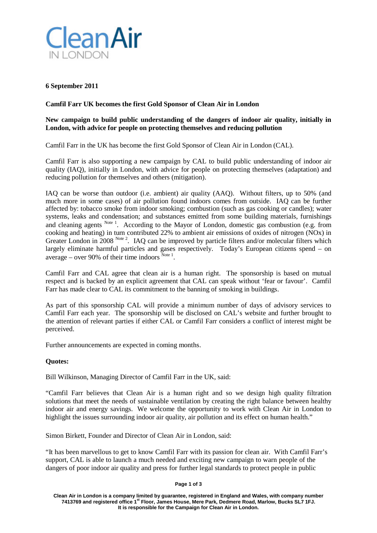

## **6 September 2011**

## **Camfil Farr UK becomes the first Gold Sponsor of Clean Air in London**

## **New campaign to build public understanding of the dangers of indoor air quality, initially in London, with advice for people on protecting themselves and reducing pollution**

Camfil Farr in the UK has become the first Gold Sponsor of Clean Air in London (CAL).

Camfil Farr is also supporting a new campaign by CAL to build public understanding of indoor air quality (IAQ), initially in London, with advice for people on protecting themselves (adaptation) and reducing pollution for themselves and others (mitigation).

IAQ can be worse than outdoor (i.e. ambient) air quality (AAQ). Without filters, up to 50% (and much more in some cases) of air pollution found indoors comes from outside. IAQ can be further affected by: tobacco smoke from indoor smoking; combustion (such as gas cooking or candles); water systems, leaks and condensation; and substances emitted from some building materials, furnishings and cleaning agents Note<sup>1</sup>. According to the Mayor of London, domestic gas combustion (e.g. from cooking and heating) in turn contributed 22% to ambient air emissions of oxides of nitrogen (NOx) in Greater London in 2008  $^{Note 2}$ . IAQ can be improved by particle filters and/or molecular filters which largely eliminate harmful particles and gases respectively. Today's European citizens spend – on average – over 90% of their time indoors  $^{Note 1}$ .

Camfil Farr and CAL agree that clean air is a human right. The sponsorship is based on mutual respect and is backed by an explicit agreement that CAL can speak without 'fear or favour'. Camfil Farr has made clear to CAL its commitment to the banning of smoking in buildings.

As part of this sponsorship CAL will provide a minimum number of days of advisory services to Camfil Farr each year. The sponsorship will be disclosed on CAL's website and further brought to the attention of relevant parties if either CAL or Camfil Farr considers a conflict of interest might be perceived.

Further announcements are expected in coming months.

# **Quotes:**

Bill Wilkinson, Managing Director of Camfil Farr in the UK, said:

["Camfil](http://www.camfilfarr.co.uk/) Farr believes that Clean Air is a human right and so we design high quality [filtration](http://www.camfilfarr.co.uk/Filter-technology/) [solutions](http://www.camfilfarr.co.uk/Filter-technology/) that meet the needs of sustainable ventilation by creating the right balance between healthy indoor air and energy savings. We welcome the opportunity to work with Clean Air in London to highlight the issues surrounding indoor air quality, air pollution and its effect on human health."

Simon Birkett, Founder and Director of Clean Air in London, said:

"It has been marvellous to get to know Camfil Farr with its passion for clean air. With Camfil Farr's support, CAL is able to launch a much needed and exciting new campaign to warn people of the dangers of poor indoor air quality and press for further legal standards to protect people in public

### **Page 1 of 3**

**Clean Air in London is a company limited by guarantee, registered in England and Wales, with company number 7413769 and registered office 1st Floor, James House, Mere Park, Dedmere Road, Marlow, Bucks SL7 1FJ. It is responsible for the Campaign for Clean Air in London.**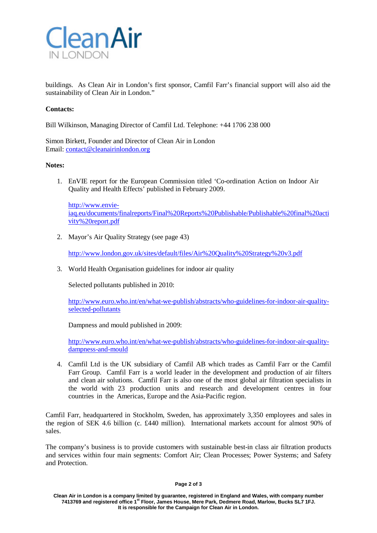

buildings. As Clean Air in London's first sponsor, Camfil Farr's financial support will also aid the sustainability of Clean Air in London."

## **Contacts:**

Bill Wilkinson, Managing Director of Camfil Ltd. Telephone: +44 1706 238 000

Simon Birkett, Founder and Director of Clean Air in London Email: [contact@cleanairinlondon.org](mailto:contact@cleanairinlondon.org)

## **Notes:**

1. EnVIE report for the European Commission titled 'Co-ordination Action on Indoor Air Quality and Health Effects' published in February 2009.

[http://www.envie](http://www.envie-/)[iaq.eu/documents/finalreports/Final%20Reports%20Publishable/Publishable%20final%20acti](http://www.envie-iaq.eu/documents/finalreports/Final%20Reports%20Publishable/Publishable%20final%20activity%20report.pdf) [vity%20report.pdf](http://www.envie-iaq.eu/documents/finalreports/Final%20Reports%20Publishable/Publishable%20final%20activity%20report.pdf)

2. Mayor's Air Quality Strategy (see page 43)

<http://www.london.gov.uk/sites/default/files/Air%20Quality%20Strategy%20v3.pdf>

3. World Health Organisation guidelines for indoor air quality

Selected pollutants published in 2010:

[http://www.euro.who.int/en/what-we-publish/abstracts/who-guidelines-for-indoor-air-quality](http://www.euro.who.int/en/what-we-publish/abstracts/who-guidelines-for-indoor-air-quality-selected-pollutants)[selected-pollutants](http://www.euro.who.int/en/what-we-publish/abstracts/who-guidelines-for-indoor-air-quality-selected-pollutants)

Dampness and mould published in 2009:

[http://www.euro.who.int/en/what-we-publish/abstracts/who-guidelines-for-indoor-air-quality](http://www.euro.who.int/en/what-we-publish/abstracts/who-guidelines-for-indoor-air-quality-dampness-and-mould)[dampness-and-mould](http://www.euro.who.int/en/what-we-publish/abstracts/who-guidelines-for-indoor-air-quality-dampness-and-mould)

4. Camfil Ltd is the UK subsidiary of Camfil AB which trades as Camfil Farr or the Camfil Farr Group. Camfil Farr is a world leader in the development and production of air filters and clean air solutions. Camfil Farr is also one of the most global air filtration specialists in the world with 23 production units and research and development centres in four countries in the Americas, Europe and the Asia-Pacific region.

Camfil Farr, headquartered in Stockholm, Sweden, has approximately 3,350 employees and sales in the region of SEK 4.6 billion (c. £440 million). International markets account for almost 90% of sales.

The company's business is to provide customers with sustainable best-in class air filtration products and services within four main segments: Comfort Air; Clean Processes; Power Systems; and Safety and Protection.

#### **Page 2 of 3**

**Clean Air in London is a company limited by guarantee, registered in England and Wales, with company number 7413769 and registered office 1st Floor, James House, Mere Park, Dedmere Road, Marlow, Bucks SL7 1FJ. It is responsible for the Campaign for Clean Air in London.**